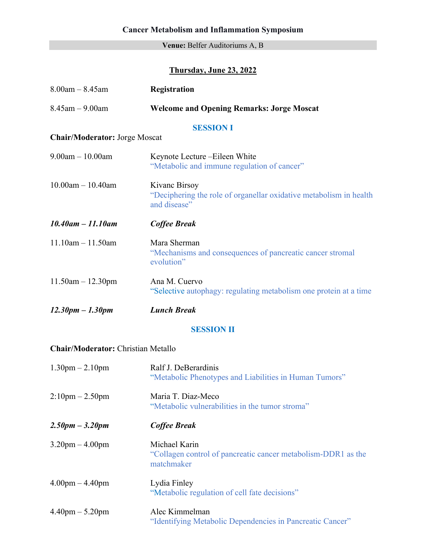#### **Venue:** Belfer Auditoriums A, B

## **Thursday, June 23, 2022**

| $8.00$ am $- 8.45$ am                     | Registration                                                                                        |  |
|-------------------------------------------|-----------------------------------------------------------------------------------------------------|--|
| $8.45$ am $- 9.00$ am                     | <b>Welcome and Opening Remarks: Jorge Moscat</b>                                                    |  |
| <b>SESSION I</b>                          |                                                                                                     |  |
| <b>Chair/Moderator: Jorge Moscat</b>      |                                                                                                     |  |
| $9.00am - 10.00am$                        | Keynote Lecture – Eileen White<br>"Metabolic and immune regulation of cancer"                       |  |
| $10.00$ am $- 10.40$ am                   | Kivanc Birsoy<br>"Deciphering the role of organellar oxidative metabolism in health<br>and disease" |  |
| $10.40$ am $- 11.10$ am                   | <b>Coffee Break</b>                                                                                 |  |
| $11.10$ am $- 11.50$ am                   | Mara Sherman<br>"Mechanisms and consequences of pancreatic cancer stromal<br>evolution"             |  |
| $11.50am - 12.30pm$                       | Ana M. Cuervo<br>"Selective autophagy: regulating metabolism one protein at a time                  |  |
| $12.30pm - 1.30pm$                        | <b>Lunch Break</b>                                                                                  |  |
|                                           | <b>SESSION II</b>                                                                                   |  |
| <b>Chair/Moderator: Christian Metallo</b> |                                                                                                     |  |
| $1.30$ pm $- 2.10$ pm                     | Ralf J. DeBerardinis<br>"Metabolic Phenotypes and Liabilities in Human Tumors"                      |  |
| $2:10$ pm $- 2.50$ pm                     | Maria T. Diaz-Meco<br>"Metabolic vulnerabilities in the tumor stroma"                               |  |
| $2.50pm - 3.20pm$                         | <b>Coffee Break</b>                                                                                 |  |
| $3.20$ pm $-4.00$ pm                      | Michael Karin<br>"Collagen control of pancreatic cancer metabolism-DDR1 as the<br>matchmaker        |  |
| $4.00$ pm $- 4.40$ pm                     | Lydia Finley<br>"Metabolic regulation of cell fate decisions"                                       |  |
| $4.40 \text{pm} - 5.20 \text{pm}$         | Alec Kimmelman<br>"Identifying Metabolic Dependencies in Pancreatic Cancer"                         |  |